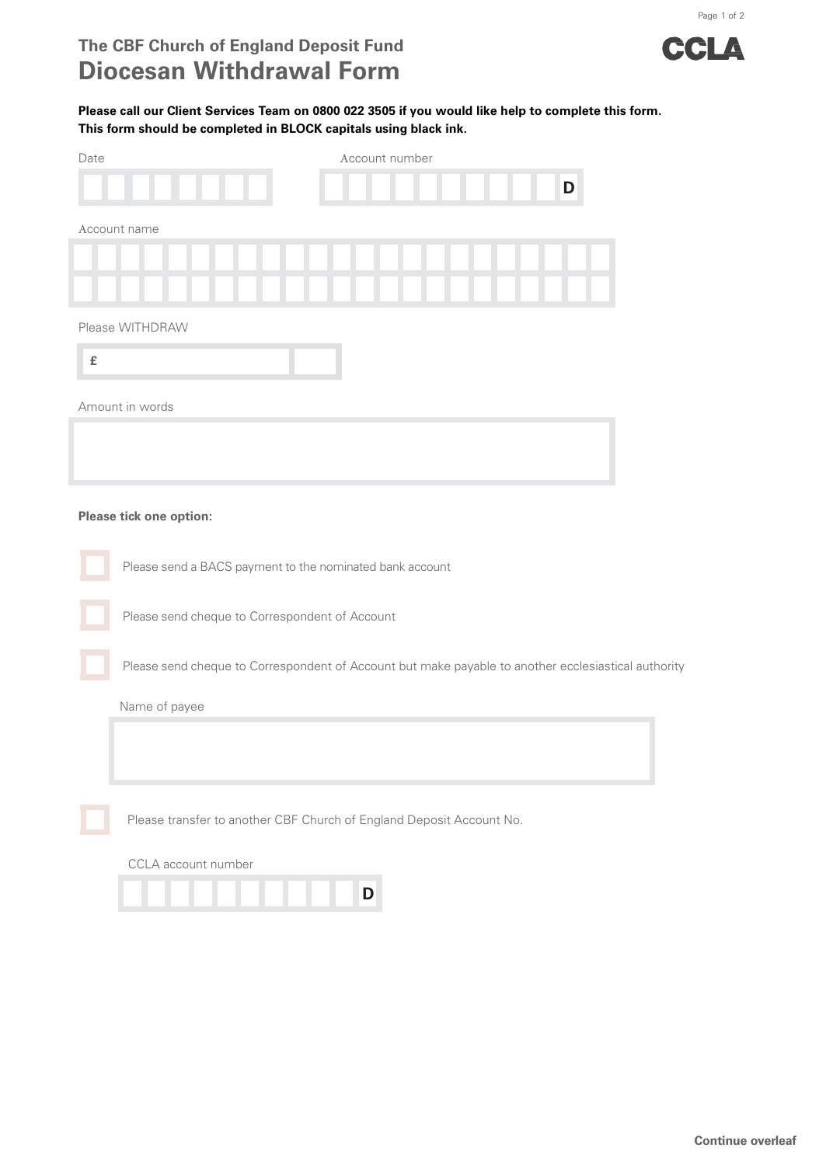

Page 1 of 2

## **Please call our Client Services Team on 0800 022 3505 if you would like help to complete this form. This form should be completed in BLOCK capitals using black ink.**

| Account number<br>Date                                                                              |
|-----------------------------------------------------------------------------------------------------|
| D                                                                                                   |
|                                                                                                     |
| Account name                                                                                        |
|                                                                                                     |
|                                                                                                     |
|                                                                                                     |
| Please WITHDRAW                                                                                     |
| $\pmb{\mathsf{f}}$                                                                                  |
|                                                                                                     |
| Amount in words                                                                                     |
|                                                                                                     |
|                                                                                                     |
|                                                                                                     |
|                                                                                                     |
| Please tick one option:                                                                             |
|                                                                                                     |
| Please send a BACS payment to the nominated bank account                                            |
|                                                                                                     |
| Please send cheque to Correspondent of Account                                                      |
|                                                                                                     |
| Please send cheque to Correspondent of Account but make payable to another ecclesiastical authority |
|                                                                                                     |
| Name of payee                                                                                       |
|                                                                                                     |
|                                                                                                     |
|                                                                                                     |
|                                                                                                     |
| Please transfer to another CBF Church of England Deposit Account No.                                |
| CCLA account number                                                                                 |
|                                                                                                     |
| D                                                                                                   |